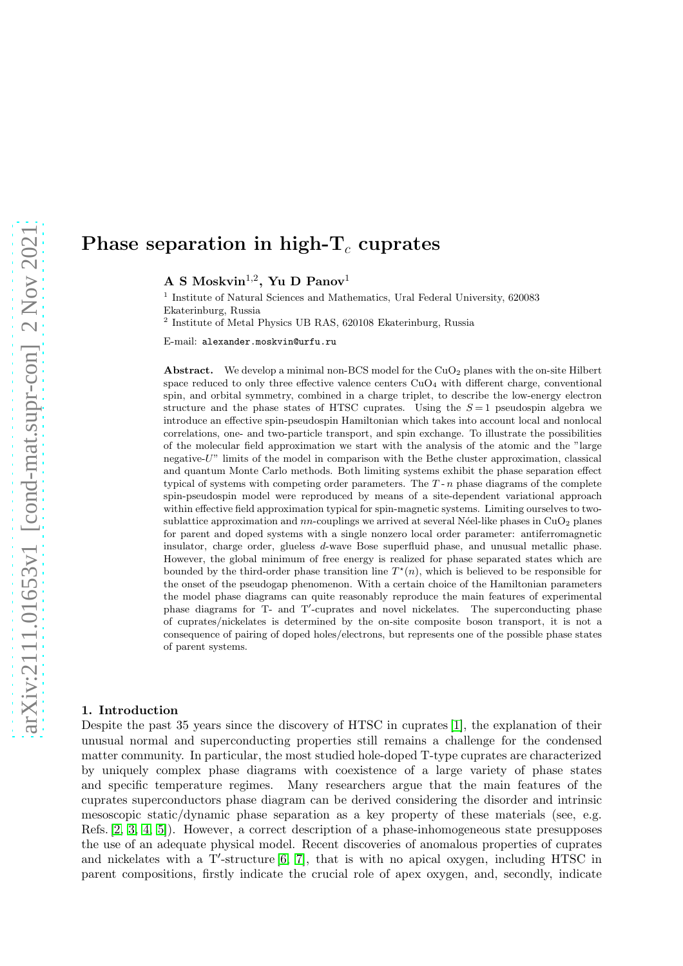# Phase separation in high- $T_c$  cuprates

A S Moskvin $^{1,2}$ , Yu D Panov $^{1}$ 

1 Institute of Natural Sciences and Mathematics, Ural Federal University, 620083 Ekaterinburg, Russia

2 Institute of Metal Physics UB RAS, 620108 Ekaterinburg, Russia

E-mail: alexander.moskvin@urfu.ru

Abstract. We develop a minimal non-BCS model for the  $CuO<sub>2</sub>$  planes with the on-site Hilbert space reduced to only three effective valence centers  $CuO<sub>4</sub>$  with different charge, conventional spin, and orbital symmetry, combined in a charge triplet, to describe the low-energy electron structure and the phase states of HTSC cuprates. Using the  $S=1$  pseudospin algebra we introduce an effective spin-pseudospin Hamiltonian which takes into account local and nonlocal correlations, one- and two-particle transport, and spin exchange. To illustrate the possibilities of the molecular field approximation we start with the analysis of the atomic and the "large negative-U" limits of the model in comparison with the Bethe cluster approximation, classical and quantum Monte Carlo methods. Both limiting systems exhibit the phase separation effect typical of systems with competing order parameters. The  $T - n$  phase diagrams of the complete spin-pseudospin model were reproduced by means of a site-dependent variational approach within effective field approximation typical for spin-magnetic systems. Limiting ourselves to twosublattice approximation and  $nn$ -couplings we arrived at several Néel-like phases in CuO<sub>2</sub> planes for parent and doped systems with a single nonzero local order parameter: antiferromagnetic insulator, charge order, glueless d-wave Bose superfluid phase, and unusual metallic phase. However, the global minimum of free energy is realized for phase separated states which are bounded by the third-order phase transition line  $T^*(n)$ , which is believed to be responsible for the onset of the pseudogap phenomenon. With a certain choice of the Hamiltonian parameters the model phase diagrams can quite reasonably reproduce the main features of experimental phase diagrams for T- and T'-cuprates and novel nickelates. The superconducting phase of cuprates/nickelates is determined by the on-site composite boson transport, it is not a consequence of pairing of doped holes/electrons, but represents one of the possible phase states of parent systems.

#### 1. Introduction

Despite the past 35 years since the discovery of HTSC in cuprates [\[1\]](#page-6-0), the explanation of their unusual normal and superconducting properties still remains a challenge for the condensed matter community. In particular, the most studied hole-doped T-type cuprates are characterized by uniquely complex phase diagrams with coexistence of a large variety of phase states and specific temperature regimes. Many researchers argue that the main features of the cuprates superconductors phase diagram can be derived considering the disorder and intrinsic mesoscopic static/dynamic phase separation as a key property of these materials (see, e.g. Refs. [\[2,](#page-6-1) [3,](#page-6-2) [4,](#page-6-3) [5\]](#page-6-4)). However, a correct description of a phase-inhomogeneous state presupposes the use of an adequate physical model. Recent discoveries of anomalous properties of cuprates and nickelates with a T'-structure [\[6,](#page-6-5) [7\]](#page-6-6), that is with no apical oxygen, including HTSC in parent compositions, firstly indicate the crucial role of apex oxygen, and, secondly, indicate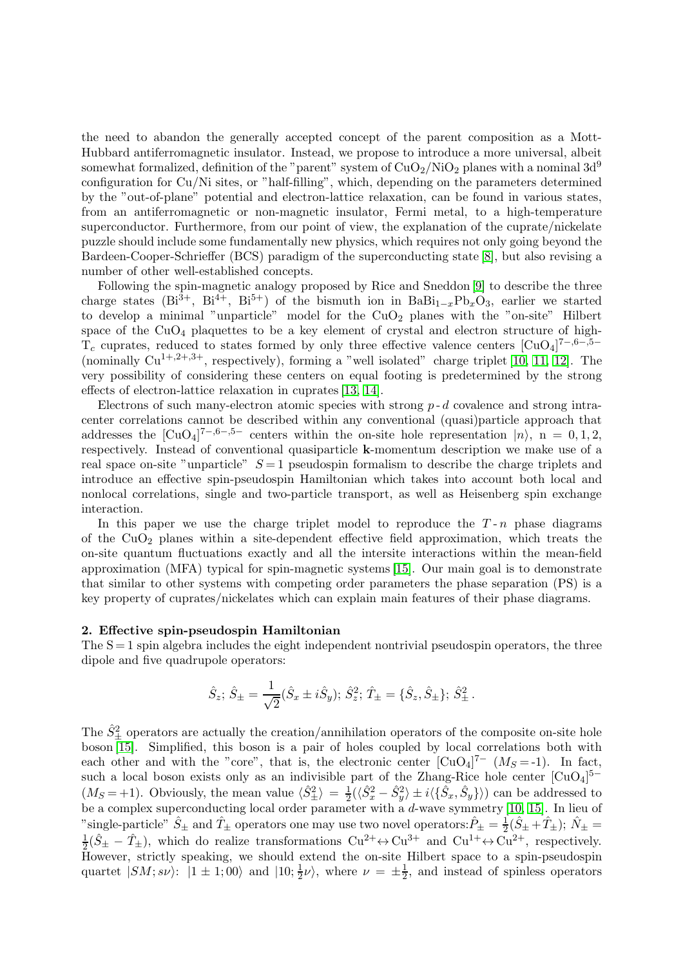the need to abandon the generally accepted concept of the parent composition as a Mott-Hubbard antiferromagnetic insulator. Instead, we propose to introduce a more universal, albeit somewhat formalized, definition of the "parent" system of  $CuO<sub>2</sub>/NiO<sub>2</sub>$  planes with a nominal 3d<sup>9</sup> configuration for Cu/Ni sites, or "half-filling", which, depending on the parameters determined by the "out-of-plane" potential and electron-lattice relaxation, can be found in various states, from an antiferromagnetic or non-magnetic insulator, Fermi metal, to a high-temperature superconductor. Furthermore, from our point of view, the explanation of the cuprate/nickelate puzzle should include some fundamentally new physics, which requires not only going beyond the Bardeen-Cooper-Schrieffer (BCS) paradigm of the superconducting state [\[8\]](#page-6-7), but also revising a number of other well-established concepts.

Following the spin-magnetic analogy proposed by Rice and Sneddon [\[9\]](#page-6-8) to describe the three charge states (Bi<sup>3+</sup>, Bi<sup>4+</sup>, Bi<sup>5+</sup>) of the bismuth ion in BaBi<sub>1-x</sub>Pb<sub>x</sub>O<sub>3</sub>, earlier we started to develop a minimal "unparticle" model for the  $CuO<sub>2</sub>$  planes with the "on-site" Hilbert space of the  $CuO<sub>4</sub>$  plaquettes to be a key element of crystal and electron structure of high- $T_c$  cuprates, reduced to states formed by only three effective valence centers  $\left[\text{CuO}_4\right]^{7-,6-,5-}$ (nominally  $Cu^{1+,2+,3+}$ , respectively), forming a "well isolated" charge triplet [\[10,](#page-6-9) [11,](#page-6-10) [12\]](#page-6-11). The very possibility of considering these centers on equal footing is predetermined by the strong effects of electron-lattice relaxation in cuprates [\[13,](#page-6-12) [14\]](#page-6-13).

Electrons of such many-electron atomic species with strong  $p - d$  covalence and strong intracenter correlations cannot be described within any conventional (quasi)particle approach that addresses the  $\text{[CuO4]}^{7-,6-,5-}$  centers within the on-site hole representation  $\ket{n}$ , n = 0, 1, 2, respectively. Instead of conventional quasiparticle k-momentum description we make use of a real space on-site "unparticle"  $S = 1$  pseudospin formalism to describe the charge triplets and introduce an effective spin-pseudospin Hamiltonian which takes into account both local and nonlocal correlations, single and two-particle transport, as well as Heisenberg spin exchange interaction.

In this paper we use the charge triplet model to reproduce the  $T-n$  phase diagrams of the  $CuO<sub>2</sub>$  planes within a site-dependent effective field approximation, which treats the on-site quantum fluctuations exactly and all the intersite interactions within the mean-field approximation (MFA) typical for spin-magnetic systems [\[15\]](#page-6-14). Our main goal is to demonstrate that similar to other systems with competing order parameters the phase separation (PS) is a key property of cuprates/nickelates which can explain main features of their phase diagrams.

### 2. Effective spin-pseudospin Hamiltonian

The  $S = 1$  spin algebra includes the eight independent nontrivial pseudospin operators, the three dipole and five quadrupole operators:

$$
\hat{S}_z
$$
;  $\hat{S}_{\pm} = \frac{1}{\sqrt{2}} (\hat{S}_x \pm i\hat{S}_y)$ ;  $\hat{S}_z^2$ ;  $\hat{T}_{\pm} = {\hat{S}_z, \hat{S}_{\pm}}$ ;  $\hat{S}_{\pm}^2$ .

The  $\hat{S}^2_{\pm}$  operators are actually the creation/annihilation operators of the composite on-site hole boson [\[15\]](#page-6-14). Simplified, this boson is a pair of holes coupled by local correlations both with each other and with the "core", that is, the electronic center  $[CuO<sub>4</sub>]<sup>7-</sup> (M<sub>S</sub>=-1)$ . In fact, such a local boson exists only as an indivisible part of the Zhang-Rice hole center  $\left[\text{CuO}_4\right]^{5-}$  $(M_S = +1)$ . Obviously, the mean value  $\langle \hat{S}_{\pm}^2 \rangle = \frac{1}{2}$  $\frac{1}{2}(\langle \hat{S}_x^2 - \hat{S}_y^2 \rangle \pm i \langle \{\hat{S}_x, \hat{S}_y\} \rangle)$  can be addressed to be a complex superconducting local order parameter with a d-wave symmetry [\[10,](#page-6-9) [15\]](#page-6-14). In lieu of "single-particle"  $\hat{S}_{\pm}$  and  $\hat{T}_{\pm}$  operators one may use two novel operators:  $\hat{P}_{\pm} = \frac{1}{2}$  $\frac{1}{2}(\hat{S}_{\pm}+\hat{T}_{\pm}); \hat{N}_{\pm} =$ 1  $\frac{1}{2}(\hat{S}_{\pm} - \hat{T}_{\pm}),$  which do realize transformations  $Cu^{2+} \leftrightarrow Cu^{3+}$  and  $Cu^{1+} \leftrightarrow Cu^{2+}$ , respectively. However, strictly speaking, we should extend the on-site Hilbert space to a spin-pseudospin quartet  $|SM; s\nu\rangle$ :  $|1 \pm 1; 00\rangle$  and  $|10; \frac{1}{2}\nu\rangle$ , where  $\nu = \pm \frac{1}{2}$  $\frac{1}{2}$ , and instead of spinless operators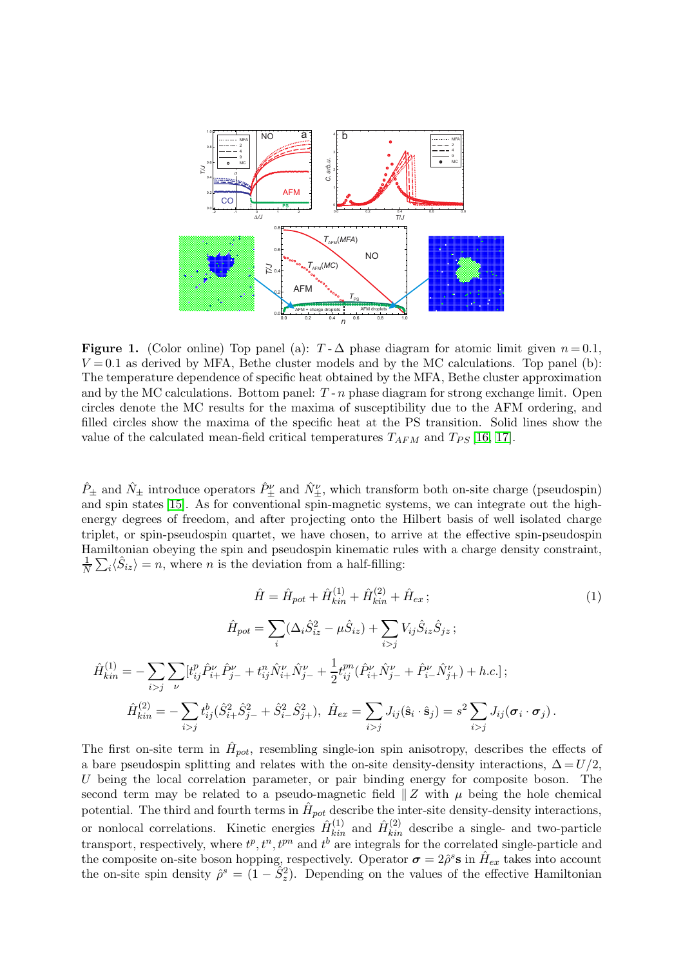

<span id="page-2-0"></span>Figure 1. (Color online) Top panel (a):  $T - \Delta$  phase diagram for atomic limit given  $n = 0.1$ ,  $V = 0.1$  as derived by MFA, Bethe cluster models and by the MC calculations. Top panel (b): The temperature dependence of specific heat obtained by the MFA, Bethe cluster approximation and by the MC calculations. Bottom panel:  $T - n$  phase diagram for strong exchange limit. Open circles denote the MC results for the maxima of susceptibility due to the AFM ordering, and filled circles show the maxima of the specific heat at the PS transition. Solid lines show the value of the calculated mean-field critical temperatures  $T_{AFM}$  and  $T_{PS}$  [\[16,](#page-6-15) [17\]](#page-6-16).

 $\hat{P}_{\pm}$  and  $\hat{N}_{\pm}$  introduce operators  $\hat{P}_{\pm}^{\nu}$  and  $\hat{N}_{\pm}^{\nu}$ , which transform both on-site charge (pseudospin) and spin states [\[15\]](#page-6-14). As for conventional spin-magnetic systems, we can integrate out the highenergy degrees of freedom, and after projecting onto the Hilbert basis of well isolated charge triplet, or spin-pseudospin quartet, we have chosen, to arrive at the effective spin-pseudospin Hamiltonian obeying the spin and pseudospin kinematic rules with a charge density constraint,  $\frac{1}{N}\sum_i \langle \hat{S}_{iz} \rangle = n$ , where *n* is the deviation from a half-filling:

$$
\hat{H} = \hat{H}_{pot} + \hat{H}_{kin}^{(1)} + \hat{H}_{kin}^{(2)} + \hat{H}_{ex};
$$
\n
$$
\hat{H}_{pot} = \sum_{i} (\Delta_{i} \hat{S}_{iz}^{2} - \mu \hat{S}_{iz}) + \sum_{i>j} V_{ij} \hat{S}_{iz} \hat{S}_{jz};
$$
\n
$$
\hat{H}_{kin}^{(1)} = -\sum_{i>j} \sum_{\nu} [t_{ij}^{p} \hat{P}_{i+}^{\nu} \hat{P}_{j-}^{\nu} + t_{ij}^{n} \hat{N}_{i+}^{\nu} \hat{N}_{j-}^{\nu} + \frac{1}{2} t_{ij}^{pn} (\hat{P}_{i+}^{\nu} \hat{N}_{j-}^{\nu} + \hat{P}_{i-}^{\nu} \hat{N}_{j+}^{\nu}) + h.c.];
$$
\n
$$
\hat{H}_{kin}^{(2)} = -\sum_{i>j} t_{ij}^{b} (\hat{S}_{i+}^{2} \hat{S}_{j-}^{2} + \hat{S}_{i-}^{2} \hat{S}_{j+}^{2}), \quad \hat{H}_{ex} = \sum_{i>j} J_{ij} (\hat{\mathbf{s}}_{i} \cdot \hat{\mathbf{s}}_{j}) = s^{2} \sum_{i>j} J_{ij} (\boldsymbol{\sigma}_{i} \cdot \boldsymbol{\sigma}_{j}).
$$
\n(1)

The first on-site term in  $\hat{H}_{pot}$ , resembling single-ion spin anisotropy, describes the effects of a bare pseudospin splitting and relates with the on-site density-density interactions,  $\Delta = U/2$ , U being the local correlation parameter, or pair binding energy for composite boson. The second term may be related to a pseudo-magnetic field  $\|Z$  with  $\mu$  being the hole chemical potential. The third and fourth terms in  $\hat{H}_{pot}$  describe the inter-site density-density interactions, or nonlocal correlations. Kinetic energies  $\hat{H}^{(1)}_{kin}$  and  $\hat{H}^{(2)}_{kin}$  describe a single- and two-particle transport, respectively, where  $t^p, t^n, t^{pn}$  and  $t^b$  are integrals for the correlated single-particle and the composite on-site boson hopping, respectively. Operator  $\sigma = 2\hat{\rho}^s s$  in  $\hat{H}_{ex}$  takes into account the on-site spin density  $\hat{\rho}^s = (1 - \hat{S}_z^2)$ . Depending on the values of the effective Hamiltonian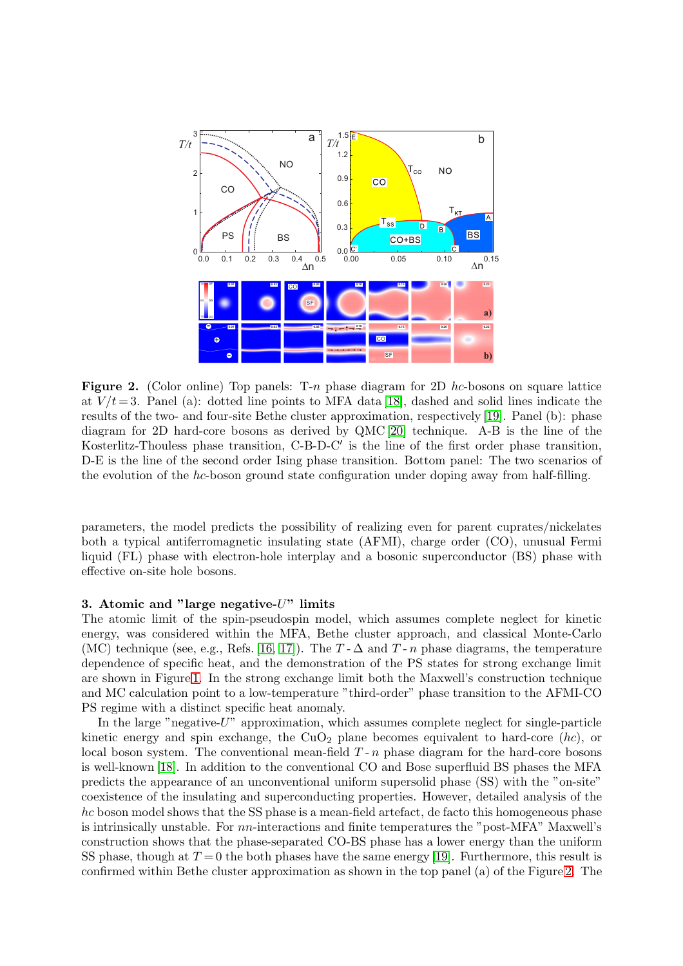

<span id="page-3-0"></span>**Figure 2.** (Color online) Top panels: T-n phase diagram for 2D hc-bosons on square lattice at  $V/t = 3$ . Panel (a): dotted line points to MFA data [\[18\]](#page-6-17), dashed and solid lines indicate the results of the two- and four-site Bethe cluster approximation, respectively [\[19\]](#page-6-18). Panel (b): phase diagram for 2D hard-core bosons as derived by QMC [\[20\]](#page-6-19) technique. A-B is the line of the Kosterlitz-Thouless phase transition, C-B-D-C′ is the line of the first order phase transition, D-E is the line of the second order Ising phase transition. Bottom panel: The two scenarios of the evolution of the hc-boson ground state configuration under doping away from half-filling.

parameters, the model predicts the possibility of realizing even for parent cuprates/nickelates both a typical antiferromagnetic insulating state (AFMI), charge order (CO), unusual Fermi liquid (FL) phase with electron-hole interplay and a bosonic superconductor (BS) phase with effective on-site hole bosons.

## 3. Atomic and "large negative-U" limits

The atomic limit of the spin-pseudospin model, which assumes complete neglect for kinetic energy, was considered within the MFA, Bethe cluster approach, and classical Monte-Carlo (MC) technique (see, e.g., Refs. [\[16,](#page-6-15) [17\]](#page-6-16)). The  $T - \Delta$  and  $T - n$  phase diagrams, the temperature dependence of specific heat, and the demonstration of the PS states for strong exchange limit are shown in Figure [1.](#page-2-0) In the strong exchange limit both the Maxwell's construction technique and MC calculation point to a low-temperature "third-order" phase transition to the AFMI-CO PS regime with a distinct specific heat anomaly.

In the large "negative- $U$ " approximation, which assumes complete neglect for single-particle kinetic energy and spin exchange, the CuO<sub>2</sub> plane becomes equivalent to hard-core  $(hc)$ , or local boson system. The conventional mean-field  $T - n$  phase diagram for the hard-core bosons is well-known [\[18\]](#page-6-17). In addition to the conventional CO and Bose superfluid BS phases the MFA predicts the appearance of an unconventional uniform supersolid phase (SS) with the "on-site" coexistence of the insulating and superconducting properties. However, detailed analysis of the hc boson model shows that the SS phase is a mean-field artefact, de facto this homogeneous phase is intrinsically unstable. For nn-interactions and finite temperatures the "post-MFA" Maxwell's construction shows that the phase-separated CO-BS phase has a lower energy than the uniform SS phase, though at  $T = 0$  the both phases have the same energy [\[19\]](#page-6-18). Furthermore, this result is confirmed within Bethe cluster approximation as shown in the top panel (a) of the Figure [2.](#page-3-0) The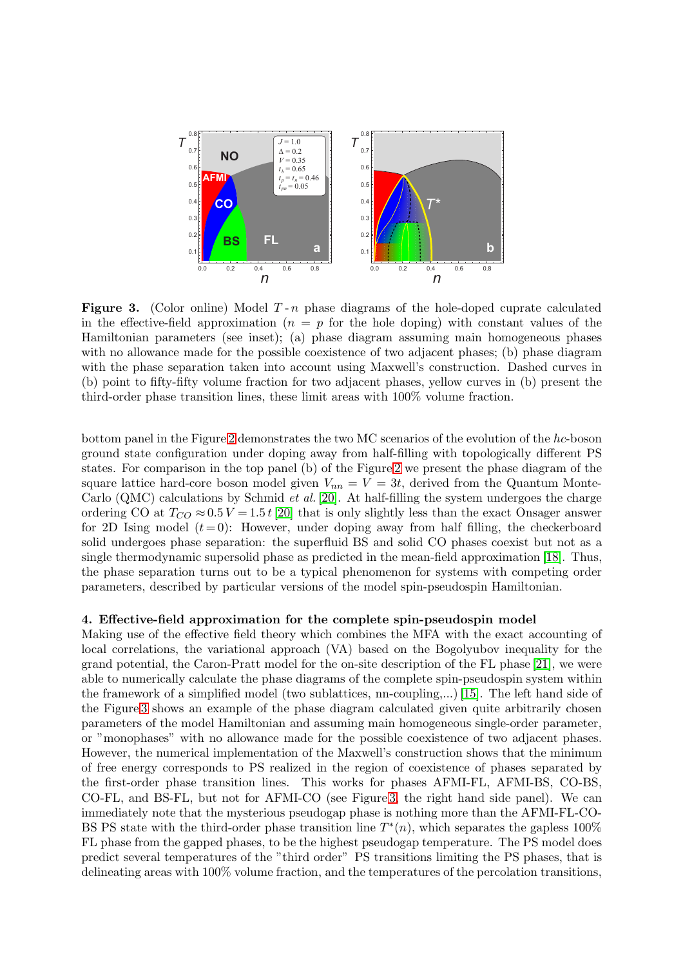

<span id="page-4-0"></span>**Figure 3.** (Color online) Model  $T - n$  phase diagrams of the hole-doped cuprate calculated in the effective-field approximation  $(n = p)$  for the hole doping) with constant values of the Hamiltonian parameters (see inset); (a) phase diagram assuming main homogeneous phases with no allowance made for the possible coexistence of two adjacent phases; (b) phase diagram with the phase separation taken into account using Maxwell's construction. Dashed curves in (b) point to fifty-fifty volume fraction for two adjacent phases, yellow curves in (b) present the third-order phase transition lines, these limit areas with 100% volume fraction.

bottom panel in the Figure [2](#page-3-0) demonstrates the two MC scenarios of the evolution of the  $hc$ -boson ground state configuration under doping away from half-filling with topologically different PS states. For comparison in the top panel (b) of the Figure [2](#page-3-0) we present the phase diagram of the square lattice hard-core boson model given  $V_{nn} = V = 3t$ , derived from the Quantum Monte-Carlo (QMC) calculations by Schmid *et al.* [\[20\]](#page-6-19). At half-filling the system undergoes the charge ordering CO at  $T_{CO} \approx 0.5 V = 1.5 t$  [\[20\]](#page-6-19) that is only slightly less than the exact Onsager answer for 2D Ising model  $(t=0)$ : However, under doping away from half filling, the checkerboard solid undergoes phase separation: the superfluid BS and solid CO phases coexist but not as a single thermodynamic supersolid phase as predicted in the mean-field approximation [\[18\]](#page-6-17). Thus, the phase separation turns out to be a typical phenomenon for systems with competing order parameters, described by particular versions of the model spin-pseudospin Hamiltonian.

## 4. Effective-field approximation for the complete spin-pseudospin model

Making use of the effective field theory which combines the MFA with the exact accounting of local correlations, the variational approach (VA) based on the Bogolyubov inequality for the grand potential, the Caron-Pratt model for the on-site description of the FL phase [\[21\]](#page-6-20), we were able to numerically calculate the phase diagrams of the complete spin-pseudospin system within the framework of a simplified model (two sublattices, nn-coupling,...) [\[15\]](#page-6-14). The left hand side of the Figure [3](#page-4-0) shows an example of the phase diagram calculated given quite arbitrarily chosen parameters of the model Hamiltonian and assuming main homogeneous single-order parameter, or "monophases" with no allowance made for the possible coexistence of two adjacent phases. However, the numerical implementation of the Maxwell's construction shows that the minimum of free energy corresponds to PS realized in the region of coexistence of phases separated by the first-order phase transition lines. This works for phases AFMI-FL, AFMI-BS, CO-BS, CO-FL, and BS-FL, but not for AFMI-CO (see Figure [3,](#page-4-0) the right hand side panel). We can immediately note that the mysterious pseudogap phase is nothing more than the AFMI-FL-CO-BS PS state with the third-order phase transition line  $T^*(n)$ , which separates the gapless 100% FL phase from the gapped phases, to be the highest pseudogap temperature. The PS model does predict several temperatures of the "third order" PS transitions limiting the PS phases, that is delineating areas with 100% volume fraction, and the temperatures of the percolation transitions,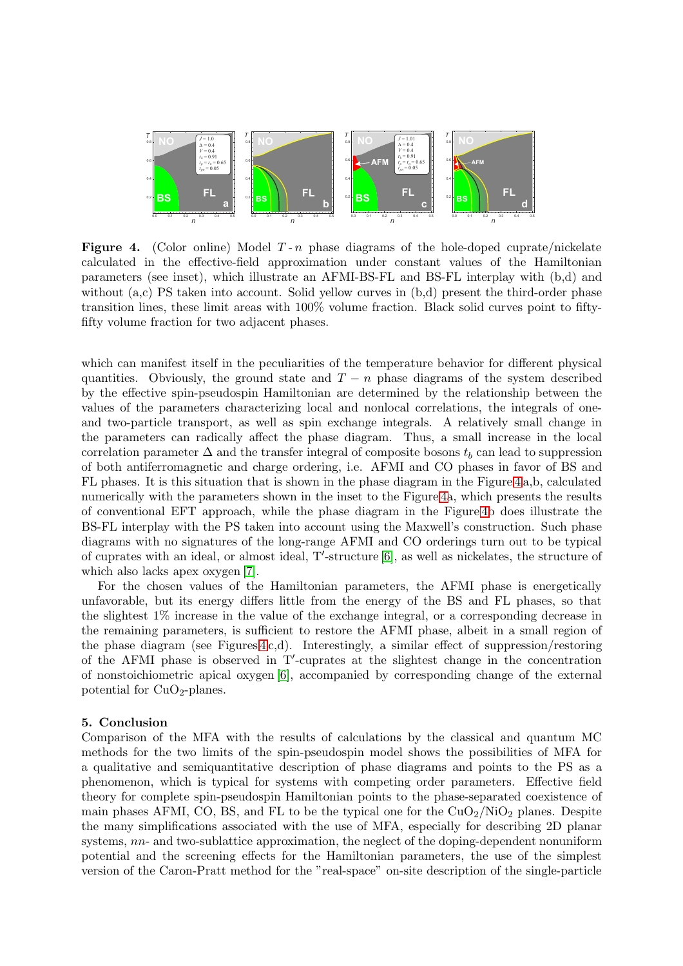

<span id="page-5-0"></span>**Figure 4.** (Color online) Model  $T - n$  phase diagrams of the hole-doped cuprate/nickelate calculated in the effective-field approximation under constant values of the Hamiltonian parameters (see inset), which illustrate an AFMI-BS-FL and BS-FL interplay with (b,d) and without (a,c) PS taken into account. Solid yellow curves in (b,d) present the third-order phase transition lines, these limit areas with 100% volume fraction. Black solid curves point to fiftyfifty volume fraction for two adjacent phases.

which can manifest itself in the peculiarities of the temperature behavior for different physical quantities. Obviously, the ground state and  $T - n$  phase diagrams of the system described by the effective spin-pseudospin Hamiltonian are determined by the relationship between the values of the parameters characterizing local and nonlocal correlations, the integrals of oneand two-particle transport, as well as spin exchange integrals. A relatively small change in the parameters can radically affect the phase diagram. Thus, a small increase in the local correlation parameter  $\Delta$  and the transfer integral of composite bosons  $t_b$  can lead to suppression of both antiferromagnetic and charge ordering, i.e. AFMI and CO phases in favor of BS and FL phases. It is this situation that is shown in the phase diagram in the Figure [4](#page-5-0) a,b, calculated numerically with the parameters shown in the inset to the Figure [4a](#page-5-0), which presents the results of conventional EFT approach, while the phase diagram in the Figure [4b](#page-5-0) does illustrate the BS-FL interplay with the PS taken into account using the Maxwell's construction. Such phase diagrams with no signatures of the long-range AFMI and CO orderings turn out to be typical of cuprates with an ideal, or almost ideal, T′ -structure [\[6\]](#page-6-5), as well as nickelates, the structure of which also lacks apex oxygen [\[7\]](#page-6-6).

For the chosen values of the Hamiltonian parameters, the AFMI phase is energetically unfavorable, but its energy differs little from the energy of the BS and FL phases, so that the slightest 1% increase in the value of the exchange integral, or a corresponding decrease in the remaining parameters, is sufficient to restore the AFMI phase, albeit in a small region of the phase diagram (see Figures  $4 c,d$ ). Interestingly, a similar effect of suppression/restoring of the AFMI phase is observed in T′ -cuprates at the slightest change in the concentration of nonstoichiometric apical oxygen [\[6\]](#page-6-5), accompanied by corresponding change of the external potential for  $CuO<sub>2</sub>$ -planes.

## 5. Conclusion

Comparison of the MFA with the results of calculations by the classical and quantum MC methods for the two limits of the spin-pseudospin model shows the possibilities of MFA for a qualitative and semiquantitative description of phase diagrams and points to the PS as a phenomenon, which is typical for systems with competing order parameters. Effective field theory for complete spin-pseudospin Hamiltonian points to the phase-separated coexistence of main phases AFMI, CO, BS, and FL to be the typical one for the  $CuO<sub>2</sub>/NiO<sub>2</sub>$  planes. Despite the many simplifications associated with the use of MFA, especially for describing 2D planar systems, nn- and two-sublattice approximation, the neglect of the doping-dependent nonuniform potential and the screening effects for the Hamiltonian parameters, the use of the simplest version of the Caron-Pratt method for the "real-space" on-site description of the single-particle